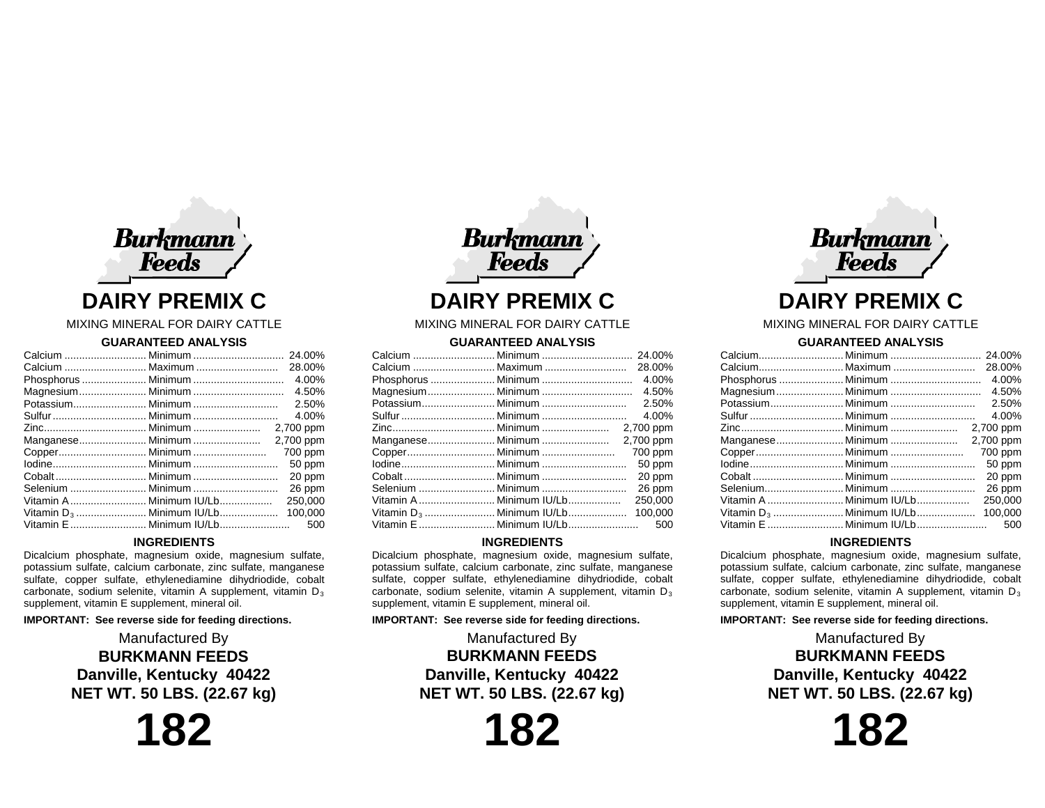

# **DAIRY PREMIX C**

# MIXING MINERAL FOR DAIRY CATTLE

## **GUARANTEED ANALYSIS**

|                   |                                      | 24.00%    |
|-------------------|--------------------------------------|-----------|
|                   |                                      | 28.00%    |
|                   |                                      | 4.00%     |
|                   |                                      | 4.50%     |
|                   |                                      | 2.50%     |
|                   |                                      | 4.00%     |
|                   |                                      |           |
| Manganese Minimum |                                      | 2,700 ppm |
|                   |                                      | 700 ppm   |
|                   |                                      | 50 ppm    |
|                   |                                      | 20 ppm    |
|                   |                                      | 26 ppm    |
|                   |                                      | 250.000   |
|                   | Vitamin D <sub>3</sub> Minimum IU/Lb | 100,000   |
|                   | Vitamin E  Minimum IU/Lb             | 500       |

# **INGREDIENTS**

Dicalcium phosphate, magnesium oxide, magnesium sulfate, potassium sulfate, calcium carbonate, zinc sulfate, manganese sulfate, copper sulfate, ethylenediamine dihydriodide, cobalt carbonate, sodium selenite, vitamin A supplement, vitamin  $D_3$ supplement, vitamin E supplement, mineral oil.

#### **IMPORTANT: See reverse side for feeding directions.**

Manufactured By **BURKMANN FEEDS Danville, Kentucky 40422 NET WT. 50 LBS. (22.67 kg)**

**182**

**Burkmann** Feeds **DAIRY PREMIX C**

#### MIXING MINERAL FOR DAIRY CATTLE

## **GUARANTEED ANALYSIS**

|                   |                                      | 28.00%    |
|-------------------|--------------------------------------|-----------|
|                   |                                      | 4.00%     |
|                   |                                      | 4.50%     |
|                   |                                      | 2.50%     |
|                   |                                      | 4.00%     |
|                   |                                      | 2,700 ppm |
| Manganese Minimum |                                      | 2,700 ppm |
|                   |                                      | 700 ppm   |
|                   |                                      | 50 ppm    |
|                   |                                      | 20 ppm    |
|                   |                                      | 26 ppm    |
|                   | Vitamin A  Minimum IU/Lb             | 250,000   |
|                   | Vitamin D <sub>3</sub> Minimum IU/Lb | 100.000   |
|                   |                                      | 500       |
|                   |                                      |           |

# **INGREDIENTS**

Dicalcium phosphate, magnesium oxide, magnesium sulfate, potassium sulfate, calcium carbonate, zinc sulfate, manganese sulfate, copper sulfate, ethylenediamine dihydriodide, cobalt carbonate, sodium selenite, vitamin A supplement, vitamin  $D_3$ supplement, vitamin E supplement, mineral oil.

#### **IMPORTANT: See reverse side for feeding directions.**

Manufactured By **BURKMANN FEEDS Danville, Kentucky 40422 NET WT. 50 LBS. (22.67 kg)**

**182**



# **DAIRY PREMIX C**

## MIXING MINERAL FOR DAIRY CATTLE

#### **GUARANTEED ANALYSIS**

|  |                                      | 24.00%    |
|--|--------------------------------------|-----------|
|  |                                      | 28.00%    |
|  |                                      | 4.00%     |
|  |                                      | 4.50%     |
|  |                                      |           |
|  |                                      | 4.00%     |
|  |                                      |           |
|  | Manganese Minimum                    | 2,700 ppm |
|  |                                      | 700 ppm   |
|  |                                      | 50 ppm    |
|  |                                      | 20 ppm    |
|  |                                      | 26 ppm    |
|  | Vitamin A  Minimum IU/Lb             | 250,000   |
|  | Vitamin D <sub>3</sub> Minimum IU/Lb | 100.000   |
|  |                                      |           |
|  |                                      |           |

## **INGREDIENTS**

Dicalcium phosphate, magnesium oxide, magnesium sulfate, potassium sulfate, calcium carbonate, zinc sulfate, manganese sulfate, copper sulfate, ethylenediamine dihydriodide, cobalt carbonate, sodium selenite, vitamin A supplement, vitamin  $D_3$ supplement, vitamin E supplement, mineral oil.

#### **IMPORTANT: See reverse side for feeding directions.**

Manufactured By **BURKMANN FEEDS Danville, Kentucky 40422 NET WT. 50 LBS. (22.67 kg)**

**182**